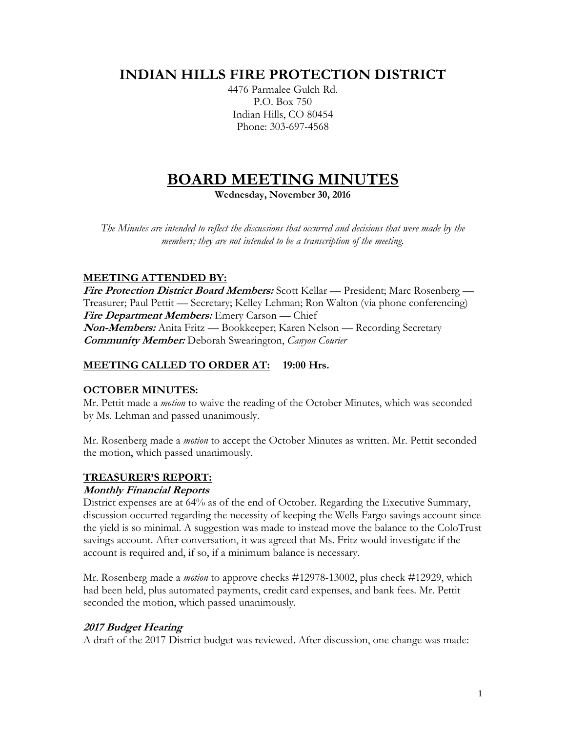# **INDIAN HILLS FIRE PROTECTION DISTRICT**

4476 Parmalee Gulch Rd. P.O. Box 750 Indian Hills, CO 80454 Phone: 303-697-4568

# **BOARD MEETING MINUTES**

**Wednesday, November 30, 2016**

*The Minutes are intended to reflect the discussions that occurred and decisions that were made by the members; they are not intended to be a transcription of the meeting.*

# **MEETING ATTENDED BY:**

**Fire Protection District Board Members:** Scott Kellar — President; Marc Rosenberg — Treasurer; Paul Pettit — Secretary; Kelley Lehman; Ron Walton (via phone conferencing) **Fire Department Members:** Emery Carson — Chief **Non-Members:** Anita Fritz — Bookkeeper; Karen Nelson — Recording Secretary **Community Member:** Deborah Swearington, *Canyon Courier*

# **MEETING CALLED TO ORDER AT: 19:00 Hrs.**

#### **OCTOBER MINUTES:**

Mr. Pettit made a *motion* to waive the reading of the October Minutes, which was seconded by Ms. Lehman and passed unanimously.

Mr. Rosenberg made a *motion* to accept the October Minutes as written. Mr. Pettit seconded the motion, which passed unanimously.

#### **TREASURER'S REPORT:**

#### **Monthly Financial Reports**

District expenses are at 64% as of the end of October. Regarding the Executive Summary, discussion occurred regarding the necessity of keeping the Wells Fargo savings account since the yield is so minimal. A suggestion was made to instead move the balance to the ColoTrust savings account. After conversation, it was agreed that Ms. Fritz would investigate if the account is required and, if so, if a minimum balance is necessary.

Mr. Rosenberg made a *motion* to approve checks #12978-13002, plus check #12929, which had been held, plus automated payments, credit card expenses, and bank fees. Mr. Pettit seconded the motion, which passed unanimously.

#### **2017 Budget Hearing**

A draft of the 2017 District budget was reviewed. After discussion, one change was made: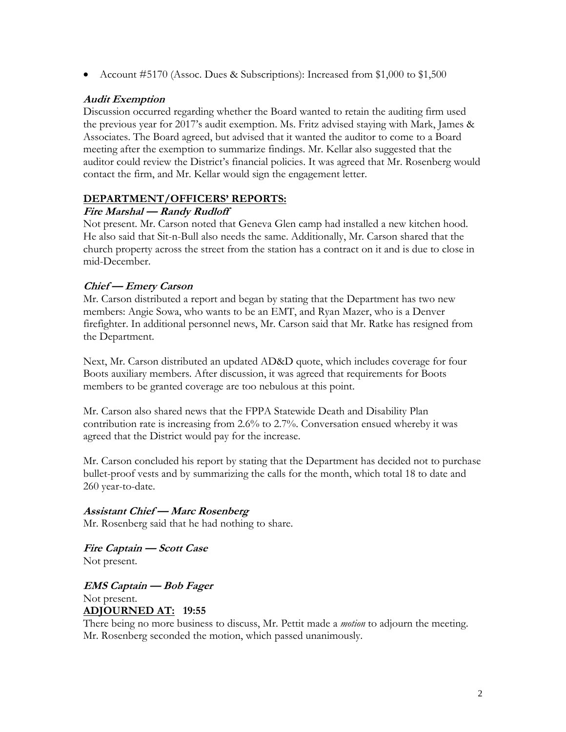Account #5170 (Assoc. Dues & Subscriptions): Increased from \$1,000 to \$1,500

#### **Audit Exemption**

Discussion occurred regarding whether the Board wanted to retain the auditing firm used the previous year for 2017's audit exemption. Ms. Fritz advised staying with Mark, James & Associates. The Board agreed, but advised that it wanted the auditor to come to a Board meeting after the exemption to summarize findings. Mr. Kellar also suggested that the auditor could review the District's financial policies. It was agreed that Mr. Rosenberg would contact the firm, and Mr. Kellar would sign the engagement letter.

#### **DEPARTMENT/OFFICERS' REPORTS:**

#### **Fire Marshal — Randy Rudloff**

Not present. Mr. Carson noted that Geneva Glen camp had installed a new kitchen hood. He also said that Sit-n-Bull also needs the same. Additionally, Mr. Carson shared that the church property across the street from the station has a contract on it and is due to close in mid-December.

#### **Chief — Emery Carson**

Mr. Carson distributed a report and began by stating that the Department has two new members: Angie Sowa, who wants to be an EMT, and Ryan Mazer, who is a Denver firefighter. In additional personnel news, Mr. Carson said that Mr. Ratke has resigned from the Department.

Next, Mr. Carson distributed an updated AD&D quote, which includes coverage for four Boots auxiliary members. After discussion, it was agreed that requirements for Boots members to be granted coverage are too nebulous at this point.

Mr. Carson also shared news that the FPPA Statewide Death and Disability Plan contribution rate is increasing from 2.6% to 2.7%. Conversation ensued whereby it was agreed that the District would pay for the increase.

Mr. Carson concluded his report by stating that the Department has decided not to purchase bullet-proof vests and by summarizing the calls for the month, which total 18 to date and 260 year-to-date.

#### **Assistant Chief — Marc Rosenberg**

Mr. Rosenberg said that he had nothing to share.

**Fire Captain — Scott Case** Not present.

**EMS Captain — Bob Fager** Not present. **ADJOURNED AT: 19:55**

There being no more business to discuss, Mr. Pettit made a *motion* to adjourn the meeting. Mr. Rosenberg seconded the motion, which passed unanimously.